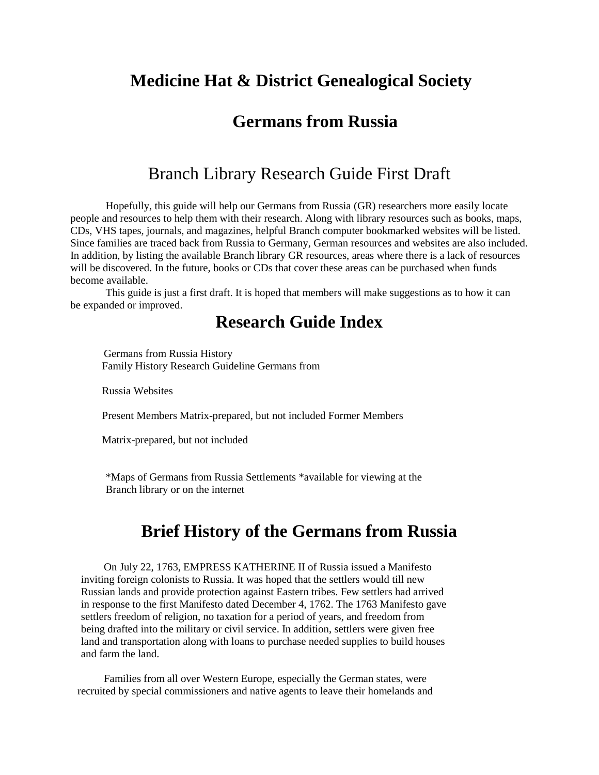#### **Medicine Hat & District Genealogical Society**

#### **Germans from Russia**

#### Branch Library Research Guide First Draft

Hopefully, this guide will help our Germans from Russia (GR) researchers more easily locate people and resources to help them with their research. Along with library resources such as books, maps, CDs, VHS tapes, journals, and magazines, helpful Branch computer bookmarked websites will be listed. Since families are traced back from Russia to Germany, German resources and websites are also included. In addition, by listing the available Branch library GR resources, areas where there is a lack of resources will be discovered. In the future, books or CDs that cover these areas can be purchased when funds become available.

This guide is just a first draft. It is hoped that members will make suggestions as to how it can be expanded or improved.

#### **Research Guide Index**

Germans from Russia History Family History Research Guideline Germans from

Russia Websites

Present Members Matrix-prepared, but not included Former Members

Matrix-prepared, but not included

\*Maps of Germans from Russia Settlements \*available for viewing at the Branch library or on the internet

#### **Brief History of the Germans from Russia**

On July 22, 1763, EMPRESS KATHERINE II of Russia issued a Manifesto inviting foreign colonists to Russia. It was hoped that the settlers would till new Russian lands and provide protection against Eastern tribes. Few settlers had arrived in response to the first Manifesto dated December 4, 1762. The 1763 Manifesto gave settlers freedom of religion, no taxation for a period of years, and freedom from being drafted into the military or civil service. In addition, settlers were given free land and transportation along with loans to purchase needed supplies to build houses and farm the land.

Families from all over Western Europe, especially the German states, were recruited by special commissioners and native agents to leave their homelands and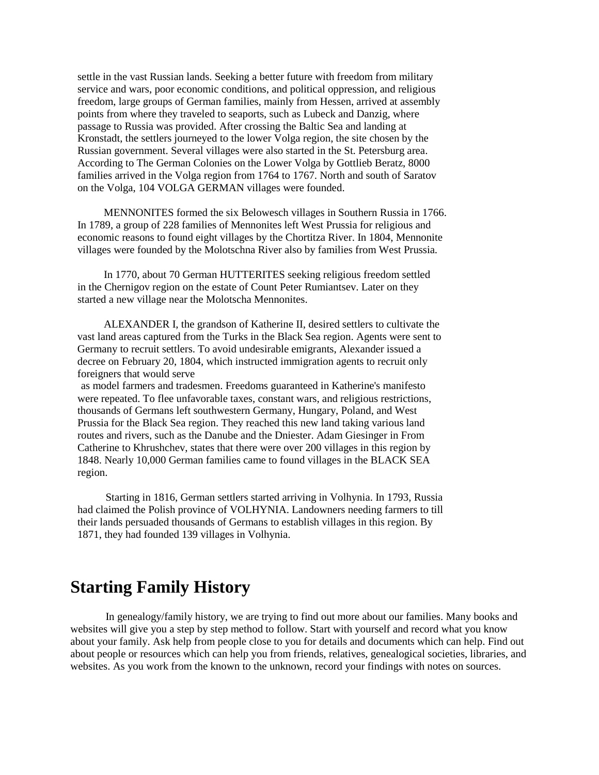settle in the vast Russian lands. Seeking a better future with freedom from military service and wars, poor economic conditions, and political oppression, and religious freedom, large groups of German families, mainly from Hessen, arrived at assembly points from where they traveled to seaports, such as Lubeck and Danzig, where passage to Russia was provided. After crossing the Baltic Sea and landing at Kronstadt, the settlers journeyed to the lower Volga region, the site chosen by the Russian government. Several villages were also started in the St. Petersburg area. According to The German Colonies on the Lower Volga by Gottlieb Beratz, 8000 families arrived in the Volga region from 1764 to 1767. North and south of Saratov on the Volga, 104 VOLGA GERMAN villages were founded.

MENNONITES formed the six Belowesch villages in Southern Russia in 1766. In 1789, a group of 228 families of Mennonites left West Prussia for religious and economic reasons to found eight villages by the Chortitza River. In 1804, Mennonite villages were founded by the Molotschna River also by families from West Prussia.

In 1770, about 70 German HUTTERITES seeking religious freedom settled in the Chernigov region on the estate of Count Peter Rumiantsev. Later on they started a new village near the Molotscha Mennonites.

ALEXANDER I, the grandson of Katherine II, desired settlers to cultivate the vast land areas captured from the Turks in the Black Sea region. Agents were sent to Germany to recruit settlers. To avoid undesirable emigrants, Alexander issued a decree on February 20, 1804, which instructed immigration agents to recruit only foreigners that would serve

as model farmers and tradesmen. Freedoms guaranteed in Katherine's manifesto were repeated. To flee unfavorable taxes, constant wars, and religious restrictions, thousands of Germans left southwestern Germany, Hungary, Poland, and West Prussia for the Black Sea region. They reached this new land taking various land routes and rivers, such as the Danube and the Dniester. Adam Giesinger in From Catherine to Khrushchev, states that there were over 200 villages in this region by 1848. Nearly 10,000 German families came to found villages in the BLACK SEA region.

Starting in 1816, German settlers started arriving in Volhynia. In 1793, Russia had claimed the Polish province of VOLHYNIA. Landowners needing farmers to till their lands persuaded thousands of Germans to establish villages in this region. By 1871, they had founded 139 villages in Volhynia.

#### **Starting Family History**

In genealogy/family history, we are trying to find out more about our families. Many books and websites will give you a step by step method to follow. Start with yourself and record what you know about your family. Ask help from people close to you for details and documents which can help. Find out about people or resources which can help you from friends, relatives, genealogical societies, libraries, and websites. As you work from the known to the unknown, record your findings with notes on sources.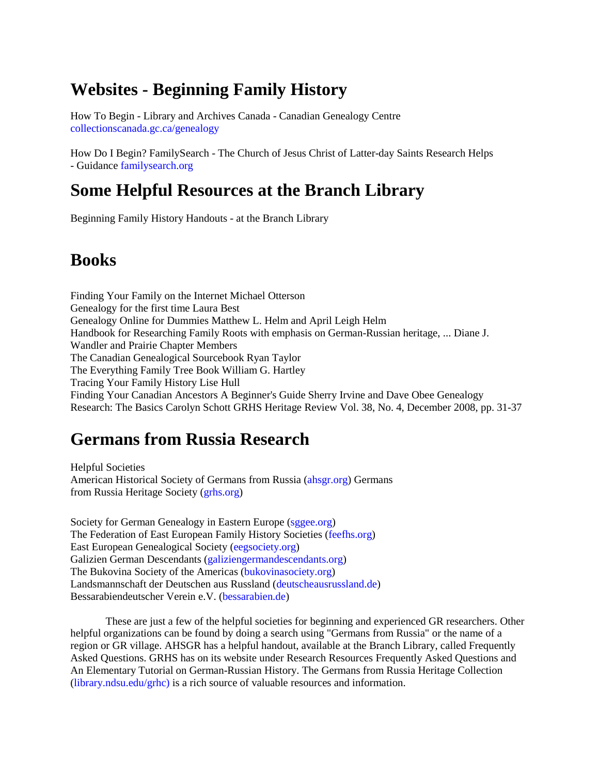## **Websites - Beginning Family History**

How To Begin - Library and Archives Canada - Canadian Genealogy Centre [collectionscanada.gc.ca/genealogy](http://collectionscanada.gc.ca/genealogy)

How Do I Begin? FamilySearch - The Church of Jesus Christ of Latter-day Saints Research Helps - Guidance [familysearch.org](http://familysearch.org/)

### **Some Helpful Resources at the Branch Library**

Beginning Family History Handouts - at the Branch Library

#### **Books**

Finding Your Family on the Internet Michael Otterson Genealogy for the first time Laura Best Genealogy Online for Dummies Matthew L. Helm and April Leigh Helm Handbook for Researching Family Roots with emphasis on German-Russian heritage, ... Diane J. Wandler and Prairie Chapter Members The Canadian Genealogical Sourcebook Ryan Taylor The Everything Family Tree Book William G. Hartley Tracing Your Family History Lise Hull Finding Your Canadian Ancestors A Beginner's Guide Sherry Irvine and Dave Obee Genealogy Research: The Basics Carolyn Schott GRHS Heritage Review Vol. 38, No. 4, December 2008, pp. 31-37

## **Germans from Russia Research**

Helpful Societies American Historical Society of Germans from Russia [\(ahsgr.org\)](http://ahsgr.org/) Germans from Russia Heritage Society [\(grhs.org\)](http://grhs.org/)

Society for German Genealogy in Eastern Europe [\(sggee.org\)](http://sggee.org/) The Federation of East European Family History Societies [\(feefhs.org\)](http://feefhs.org/) East European Genealogical Society [\(eegsociety.org\)](http://eegsociety.org/) Galizien German Descendants [\(galiziengermandescendants.org\)](http://galiziengermandescendants.org/) The Bukovina Society of the Americas [\(bukovinasociety.org\)](http://bukovinasociety.org/) Landsmannschaft der Deutschen aus Russland [\(deutscheausrussland.de\)](http://deutscheausrussland.de/) Bessarabiendeutscher Verein e.V. [\(bessarabien.de\)](http://bessarabien.de/)

These are just a few of the helpful societies for beginning and experienced GR researchers. Other helpful organizations can be found by doing a search using "Germans from Russia" or the name of a region or GR village. AHSGR has a helpful handout, available at the Branch Library, called Frequently Asked Questions. GRHS has on its website under Research Resources Frequently Asked Questions and An Elementary Tutorial on German-Russian History. The Germans from Russia Heritage Collection [\(library.ndsu.edu/grhc\)](http://library.ndsu.edu/grhc)) is a rich source of valuable resources and information.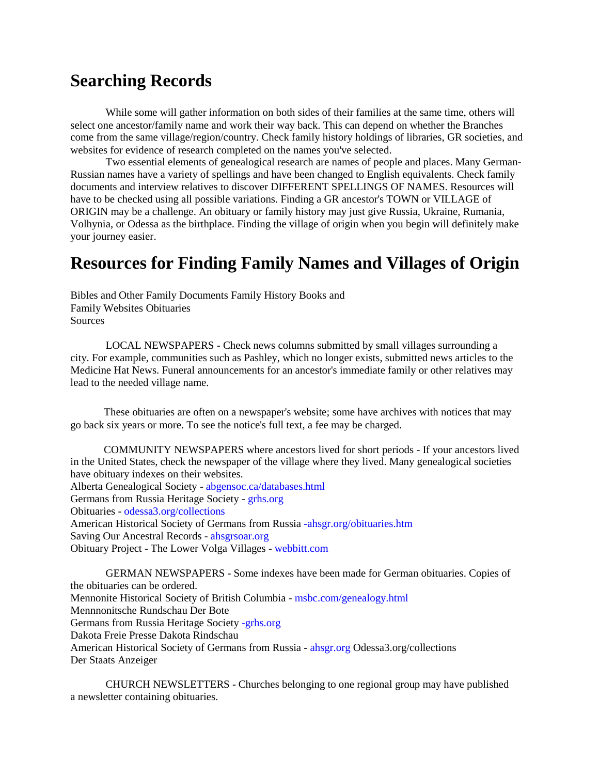#### **Searching Records**

While some will gather information on both sides of their families at the same time, others will select one ancestor/family name and work their way back. This can depend on whether the Branches come from the same village/region/country. Check family history holdings of libraries, GR societies, and websites for evidence of research completed on the names you've selected.

Two essential elements of genealogical research are names of people and places. Many German-Russian names have a variety of spellings and have been changed to English equivalents. Check family documents and interview relatives to discover DIFFERENT SPELLINGS OF NAMES. Resources will have to be checked using all possible variations. Finding a GR ancestor's TOWN or VILLAGE of ORIGIN may be a challenge. An obituary or family history may just give Russia, Ukraine, Rumania, Volhynia, or Odessa as the birthplace. Finding the village of origin when you begin will definitely make your journey easier.

#### **Resources for Finding Family Names and Villages of Origin**

Bibles and Other Family Documents Family History Books and Family Websites Obituaries Sources

LOCAL NEWSPAPERS - Check news columns submitted by small villages surrounding a city. For example, communities such as Pashley, which no longer exists, submitted news articles to the Medicine Hat News. Funeral announcements for an ancestor's immediate family or other relatives may lead to the needed village name.

These obituaries are often on a newspaper's website; some have archives with notices that may go back six years or more. To see the notice's full text, a fee may be charged.

COMMUNITY NEWSPAPERS where ancestors lived for short periods - If your ancestors lived in the United States, check the newspaper of the village where they lived. Many genealogical societies have obituary indexes on their websites. Alberta Genealogical Society - [abgensoc.ca/databases.html](http://abgensoc.ca/databases.html) Germans from Russia Heritage Society - [grhs.org](http://grhs.org/) Obituaries - [odessa3.org/collections](http://odessa3.org/collections) American Historical Society of Germans from Russia [-ahsgr.org/obituaries.htm](http://-ahsgr.org/obituaries.htm) Saving Our Ancestral Records - [ahsgrsoar.org](http://ahsgrsoar.org/) Obituary Project - The Lower Volga Villages - [webbitt.com](http://webbitt.com/)

GERMAN NEWSPAPERS - Some indexes have been made for German obituaries. Copies of the obituaries can be ordered. Mennonite Historical Society of British Columbia - [msbc.com/genealogy.html](http://msbc.com/genealogy.html) Mennnonitsche Rundschau Der Bote Germans from Russia Heritage Society [-grhs.org](http://-grhs.org/) Dakota Freie Presse Dakota Rindschau American Historical Society of Germans from Russia - [ahsgr.org](http://ahsgr.org/) Odessa3.org/collections Der Staats Anzeiger

CHURCH NEWSLETTERS - Churches belonging to one regional group may have published a newsletter containing obituaries.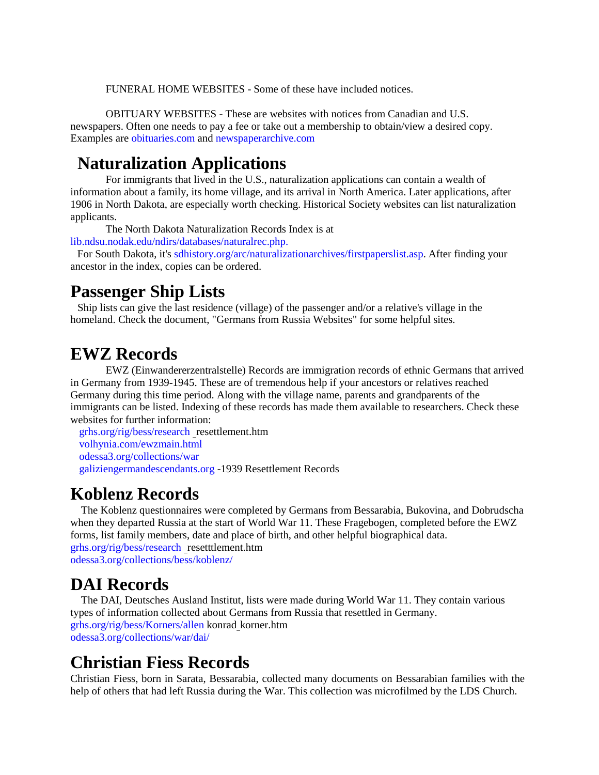FUNERAL HOME WEBSITES - Some of these have included notices.

OBITUARY WEBSITES - These are websites with notices from Canadian and U.S. newspapers. Often one needs to pay a fee or take out a membership to obtain/view a desired copy. Examples are [obituaries.com](http://obituaries.com/) and [newspaperarchive.com](http://newspaperarchive.com/)

#### **Naturalization Applications**

For immigrants that lived in the U.S., naturalization applications can contain a wealth of information about a family, its home village, and its arrival in North America. Later applications, after 1906 in North Dakota, are especially worth checking. Historical Society websites can list naturalization applicants.

The North Dakota Naturalization Records Index is at

[lib.ndsu.nodak.edu/ndirs/databases/naturalrec.php.](http://lib.ndsu.nodak.edu/ndirs/databases/naturalrec.php.)

For South Dakota, it's [sdhistory.org/arc/naturalizationarchives/firstpaperslist.asp.](http://sdhistory.org/arc/naturalizationarchives/firstpaperslist.asp) After finding your ancestor in the index, copies can be ordered.

#### **Passenger Ship Lists**

Ship lists can give the last residence (village) of the passenger and/or a relative's village in the homeland. Check the document, "Germans from Russia Websites" for some helpful sites.

#### **EWZ Records**

EWZ (Einwandererzentralstelle) Records are immigration records of ethnic Germans that arrived in Germany from 1939-1945. These are of tremendous help if your ancestors or relatives reached Germany during this time period. Along with the village name, parents and grandparents of the immigrants can be listed. Indexing of these records has made them available to researchers. Check these websites for further information:

[grhs.org/rig/bess/research](http://grhs.org/rig/bess/research) \_resettlement.htm [volhynia.com/ewzmain.html](http://volhynia.com/ewzmain.html) [odessa3.org/collections/war](http://odessa3.org/collections/war) [galiziengermandescendants.org](http://galiziengermandescendants.org/) -1939 Resettlement Records

#### **Koblenz Records**

The Koblenz questionnaires were completed by Germans from Bessarabia, Bukovina, and Dobrudscha when they departed Russia at the start of World War 11. These Fragebogen, completed before the EWZ forms, list family members, date and place of birth, and other helpful biographical data. [grhs.org/rig/bess/research](http://grhs.org/rig/bess/research) \_resetttlement.htm [odessa3.org/collections/bess/koblenz/](http://odessa3.org/collections/bess/koblenz/)

#### **DAI Records**

The DAI, Deutsches Ausland Institut, lists were made during World War 11. They contain various types of information collected about Germans from Russia that resettled in Germany. [grhs.org/rig/bess/Korners/allen](http://grhs.org/rig/bess/Korners/allen) konrad\_korner.htm [odessa3.org/collections/war/dai/](http://odessa3.org/collections/war/dai/)

#### **Christian Fiess Records**

Christian Fiess, born in Sarata, Bessarabia, collected many documents on Bessarabian families with the help of others that had left Russia during the War. This collection was microfilmed by the LDS Church.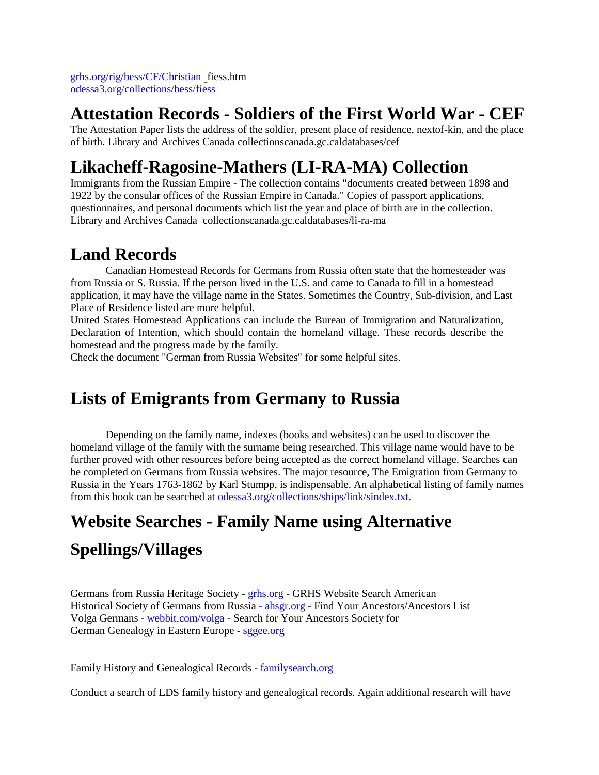[grhs.org/rig/bess/CF/Christian](http://grhs.org/rig/bess/CF/Christian) \_fiess.htm [odessa3.org/collections/bess/fiess](http://odessa3.org/collections/bess/fiess)

#### **Attestation Records - Soldiers of the First World War - CEF**

The Attestation Paper lists the address of the soldier, present place of residence, nextof-kin, and the place of birth. Library and Archives Canada collectionscanada.gc.caldatabases/cef

## **Likacheff-Ragosine-Mathers (LI-RA-MA) Collection**

Immigrants from the Russian Empire - The collection contains "documents created between 1898 and 1922 by the consular offices of the Russian Empire in Canada." Copies of passport applications, questionnaires, and personal documents which list the year and place of birth are in the collection. Library and Archives Canada collectionscanada.gc.caldatabases/li-ra-ma

## **Land Records**

Canadian Homestead Records for Germans from Russia often state that the homesteader was from Russia or S. Russia. If the person lived in the U.S. and came to Canada to fill in a homestead application, it may have the village name in the States. Sometimes the Country, Sub-division, and Last Place of Residence listed are more helpful.

United States Homestead Applications can include the Bureau of Immigration and Naturalization, Declaration of Intention, which should contain the homeland village. These records describe the homestead and the progress made by the family.

Check the document "German from Russia Websites" for some helpful sites.

## **Lists of Emigrants from Germany to Russia**

Depending on the family name, indexes (books and websites) can be used to discover the homeland village of the family with the surname being researched. This village name would have to be further proved with other resources before being accepted as the correct homeland village. Searches can be completed on Germans from Russia websites. The major resource, The Emigration from Germany to Russia in the Years 1763-1862 by Karl Stumpp, is indispensable. An alphabetical listing of family names from this book can be searched at [odessa3.org/collections/ships/link/sindex.txt.](http://odessa3.org/collections/ships/link/sindex.txt.)

## **Website Searches - Family Name using Alternative**

## **Spellings/Villages**

Germans from Russia Heritage Society - [grhs.org](http://grhs.org/) - GRHS Website Search American Historical Society of Germans from Russia - [ahsgr.org](http://ahsgr.org/) - Find Your Ancestors/Ancestors List Volga Germans - [webbit.com/volga](http://webbit.com/volga) - Search for Your Ancestors Society for German Genealogy in Eastern Europe - [sggee.org](http://sggee.org/)

Family History and Genealogical Records - [familysearch.org](http://familysearch.org/)

Conduct a search of LDS family history and genealogical records. Again additional research will have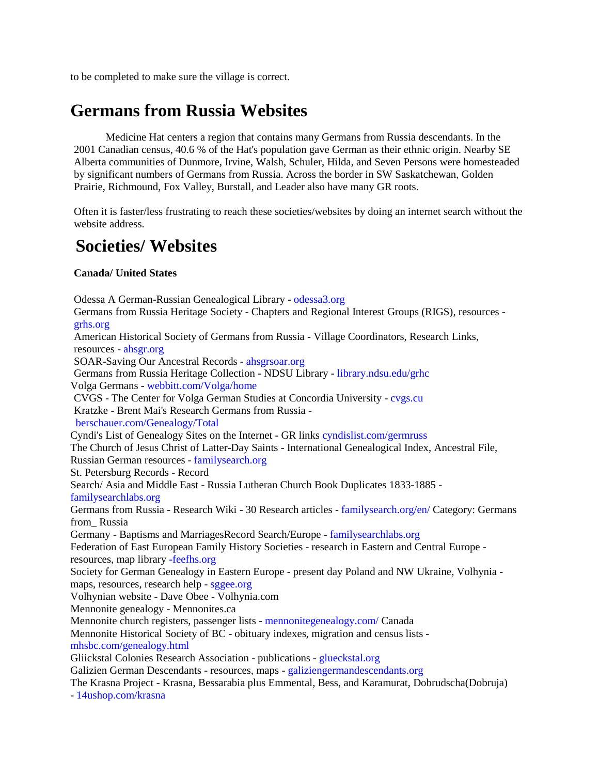to be completed to make sure the village is correct.

## **Germans from Russia Websites**

Medicine Hat centers a region that contains many Germans from Russia descendants. In the 2001 Canadian census, 40.6 % of the Hat's population gave German as their ethnic origin. Nearby SE Alberta communities of Dunmore, Irvine, Walsh, Schuler, Hilda, and Seven Persons were homesteaded by significant numbers of Germans from Russia. Across the border in SW Saskatchewan, Golden Prairie, Richmound, Fox Valley, Burstall, and Leader also have many GR roots.

Often it is faster/less frustrating to reach these societies/websites by doing an internet search without the website address.

#### **Societies/ Websites**

#### **Canada/ United States**

Odessa A German-Russian Genealogical Library - [odessa3.org](http://odessa3.org/) Germans from Russia Heritage Society - Chapters and Regional Interest Groups (RIGS), resources [grhs.org](http://grhs.org/) American Historical Society of Germans from Russia - Village Coordinators, Research Links, resources - [ahsgr.org](http://ahsgr.org/) SOAR-Saving Our Ancestral Records - [ahsgrsoar.org](http://ahsgrsoar.org/) Germans from Russia Heritage Collection - NDSU Library - [library.ndsu.edu/grhc](http://library.ndsu.edu/grhc) Volga Germans - [webbitt.com/Volga/home](http://webbitt.com/Volga/home) CVGS - The Center for Volga German Studies at Concordia University - [cvgs.cu](http://cvgs.cu/) Kratzke - Brent Mai's Research Germans from Russia [berschauer.com/Genealogy/Total](http://berschauer.com/Genealogy/Total) Cyndi's List of Genealogy Sites on the Internet - GR links [cyndislist.com/germruss](http://cyndislist.com/germruss) The Church of Jesus Christ of Latter-Day Saints - International Genealogical Index, Ancestral File, Russian German resources - [familysearch.org](http://familysearch.org/) St. Petersburg Records - Record Search/ Asia and Middle East - Russia Lutheran Church Book Duplicates 1833-1885 [familysearchlabs.org](http://familysearchlabs.org/) Germans from Russia - Research Wiki - 30 Research articles - [familysearch.org/en/](http://familysearch.org/en/) Category: Germans from\_ Russia Germany - Baptisms and MarriagesRecord Search/Europe - [familysearchlabs.org](http://familysearchlabs.org/) Federation of East European Family History Societies - research in Eastern and Central Europe resources, map library [-feefhs.org](http://-feefhs.org/) Society for German Genealogy in Eastern Europe - present day Poland and NW Ukraine, Volhynia maps, resources, research help - [sggee.org](http://sggee.org/) Volhynian website - Dave Obee - Volhynia.com Mennonite genealogy - Mennonites.ca Mennonite church registers, passenger lists - [mennonitegenealogy.com/](http://mennonitegenealogy.com/) Canada Mennonite Historical Society of BC - obituary indexes, migration and census lists [mhsbc.com/genealogy.html](http://mhsbc.com/genealogy.html) Gliickstal Colonies Research Association - publications - [glueckstal.org](http://glueckstal.org/) Galizien German Descendants - resources, maps - [galiziengermandescendants.org](http://galiziengermandescendants.org/) The Krasna Project - Krasna, Bessarabia plus Emmental, Bess, and Karamurat, Dobrudscha(Dobruja) - [14ushop.com/krasna](http://14ushop.com/krasna)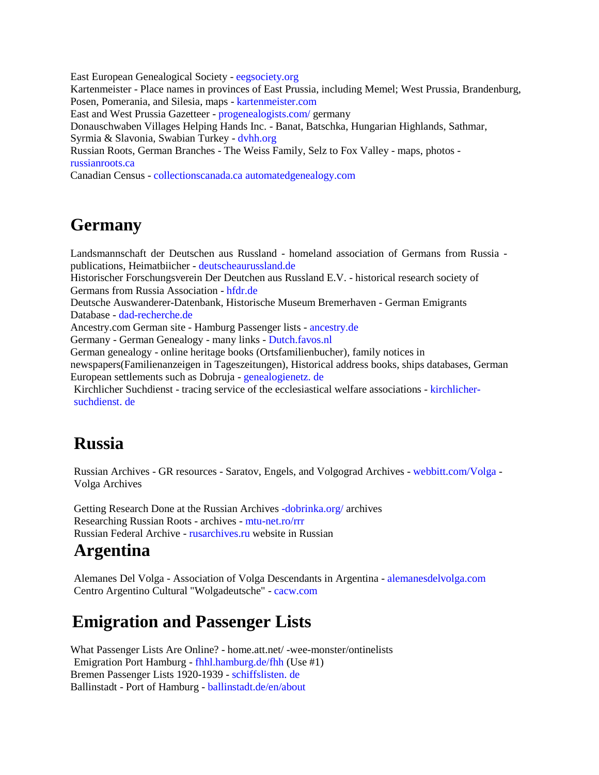East European Genealogical Society - [eegsociety.org](http://eegsociety.org/) Kartenmeister - Place names in provinces of East Prussia, including Memel; West Prussia, Brandenburg, Posen, Pomerania, and Silesia, maps - [kartenmeister.com](http://kartenmeister.com/) East and West Prussia Gazetteer - [progenealogists.com/](http://progenealogists.com/) germany Donauschwaben Villages Helping Hands Inc. - Banat, Batschka, Hungarian Highlands, Sathmar, Syrmia & Slavonia, Swabian Turkey - [dvhh.org](http://dvhh.org/) Russian Roots, German Branches - The Weiss Family, Selz to Fox Valley - maps, photos [russianroots.ca](http://russianroots.ca/) Canadian Census - [collectionscanada.ca](http://collectionscanada.ca/) [automatedgenealogy.com](http://automatedgenealogy.com/)

## **Germany**

Landsmannschaft der Deutschen aus Russland - homeland association of Germans from Russia publications, Heimatbiicher - [deutscheaurussland.de](http://deutscheaurussland.de/) Historischer Forschungsverein Der Deutchen aus Russland E.V. - historical research society of Germans from Russia Association - [hfdr.de](http://hfdr.de/) Deutsche Auswanderer-Datenbank, Historische Museum Bremerhaven - German Emigrants Database - [dad-recherche.de](http://dad-recherche.de/) Ancestry.com German site - Hamburg Passenger lists - [ancestry.de](http://ancestry.de/) Germany - German Genealogy - many links - [Dutch.favos.nl](http://dutch.favos.nl/) German genealogy - online heritage books (Ortsfamilienbucher), family notices in newspapers(Familienanzeigen in Tageszeitungen), Historical address books, ships databases, German European settlements such as Dobruja - [genealogienetz. de](http://genealogienetz.de/) Kirchlicher Suchdienst - tracing service of the ecclesiastical welfare associations - [kirchlicher-](http://kirchlicher-suchdienst.de/)

[suchdienst. de](http://kirchlicher-suchdienst.de/)

## **Russia**

Russian Archives - GR resources - Saratov, Engels, and Volgograd Archives - [webbitt.com/Volga](http://webbitt.com/Volga) - Volga Archives

Getting Research Done at the Russian Archives [-dobrinka.org/](http://-dobrinka.org/) archives Researching Russian Roots - archives - [mtu-net.ro/rrr](http://mtu-net.ro/rrr) Russian Federal Archive - [rusarchives.ru](http://rusarchives.ru/) website in Russian

#### **Argentina**

Alemanes Del Volga - Association of Volga Descendants in Argentina - [alemanesdelvolga.com](http://alemanesdelvolga.com/) Centro Argentino Cultural "Wolgadeutsche" - [cacw.com](http://cacw.com/)

## **Emigration and Passenger Lists**

What Passenger Lists Are Online? - home.att.net/ -wee-monster/ontinelists Emigration Port Hamburg - [fhhl.hamburg.de/fhh](http://fhhl.hamburg.de/fhh) (Use #1) Bremen Passenger Lists 1920-1939 - [schiffslisten. de](http://schiffslisten.de/) Ballinstadt - Port of Hamburg - [ballinstadt.de/en/about](http://ballinstadt.de/en/about)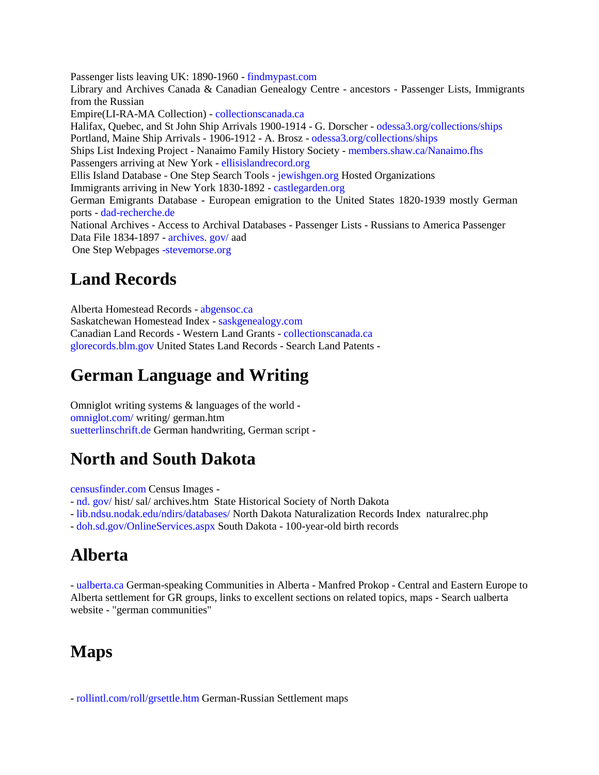Passenger lists leaving UK: 1890-1960 - [findmypast.com](http://findmypast.com/) Library and Archives Canada & Canadian Genealogy Centre - ancestors - Passenger Lists, Immigrants from the Russian Empire(LI-RA-MA Collection) - [collectionscanada.ca](http://collectionscanada.ca/) Halifax, Quebec, and St John Ship Arrivals 1900-1914 - G. Dorscher - [odessa3.org/collections/ships](http://odessa3.org/collections/ships) Portland, Maine Ship Arrivals - 1906-1912 - A. Brosz - [odessa3.org/collections/ships](http://odessa3.org/collections/ships) Ships List Indexing Project - Nanaimo Family History Society - [members.shaw.ca/Nanaimo.fhs](http://members.shaw.ca/Nanaimo.fhs) Passengers arriving at New York - [ellisislandrecord.org](http://ellisislandrecord.org/) Ellis Island Database - One Step Search Tools - [jewishgen.org](http://jewishgen.org/) Hosted Organizations Immigrants arriving in New York 1830-1892 - [castlegarden.org](http://castlegarden.org/) German Emigrants Database - European emigration to the United States 1820-1939 mostly German ports - [dad-recherche.de](http://dad-recherche.de/) National Archives - Access to Archival Databases - Passenger Lists - Russians to America Passenger Data File 1834-1897 - [archives. gov/](http://archives.gov/) aad One Step Webpage[s -stevemorse.org](http://-stevemorse.org/)

## **Land Records**

Alberta Homestead Records - [abgensoc.ca](http://abgensoc.ca/) Saskatchewan Homestead Index - [saskgenealogy.com](http://saskgenealogy.com/) Canadian Land Records - Western Land Grants - [collectionscanada.ca](http://collectionscanada.ca/) [glorecords.blm.gov](http://glorecords.blm.gov/) United States Land Records - Search Land Patents -

## **German Language and Writing**

Omniglot writing systems & languages of the world [omniglot.com/](http://omniglot.com/) writing/ german.htm [suetterlinschrift.de](http://suetterlinschrift.de/) German handwriting, German script -

## **North and South Dakota**

[censusfinder.com](http://censusfinder.com/) Census Images -

- [nd. gov/](http://nd.gov/) hist/ sal/ archives.htm State Historical Society of North Dakota

- [lib.ndsu.nodak.edu/ndirs/databases/](http://lib.ndsu.nodak.edu/ndirs/databases/) North Dakota Naturalization Records Index naturalrec.php

- [doh.sd.gov/OnlineServices.aspx](http://doh.sd.gov/OnlineServices.aspx) South Dakota - 100-year-old birth records

# **Alberta**

- [ualberta.ca](http://ualberta.ca/) German-speaking Communities in Alberta - Manfred Prokop - Central and Eastern Europe to Alberta settlement for GR groups, links to excellent sections on related topics, maps - Search ualberta website - "german communities"

## **Maps**

- [rollintl.com/roll/grsettle.htm](http://rollintl.com/roll/grsettle.htm) German-Russian Settlement maps